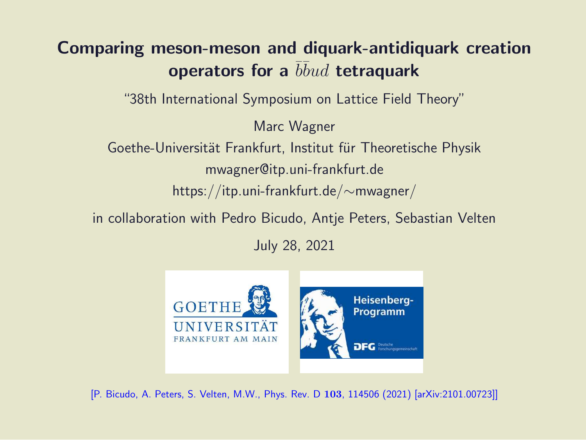#### Comparing meson-meson and diquark-antidiquark creation operators for a  $\overline{b} \overline{b} u d$  tetraquark

"38th International Symposium on Lattice Field Theory"

Marc Wagner

Goethe-Universität Frankfurt, Institut für Theoretische Physik mwagner@itp.uni-frankfurt.de https://itp.uni-frankfurt.de/∼mwagner/

in collaboration with Pedro Bicudo, Antje Peters, Sebastian Velten

July 28, 2021



[P. Bicudo, A. Peters, S. Velten, M.W., Phys. Rev. D 103, 114506 (2021) [arXiv:2101.00723]]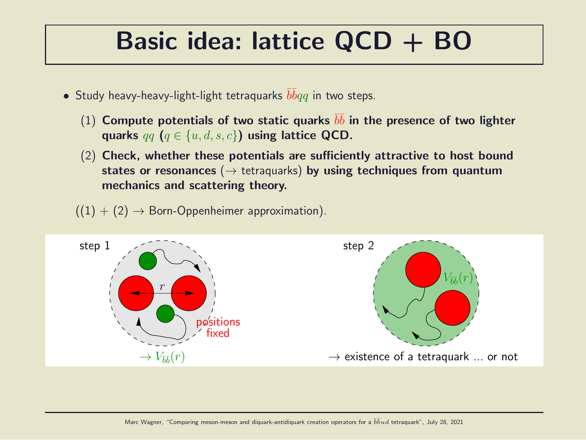#### Basic idea: lattice QCD + BO

- $\bullet$  Study heavy-heavy-light-light tetraquarks  $\bar{b}\bar{b}qq$  in two steps.
	- (1) Compute potentials of two static quarks  $b\bar{b}$  in the presence of two lighter quarks  $qq$   $(q \in \{u, d, s, c\})$  using lattice QCD.
	- (2) Check, whether these potentials are sufficiently attractive to host bound states or resonances ( $\rightarrow$  tetraquarks) by using techniques from quantum mechanics and scattering theory.
	- $((1) + (2) \rightarrow$  Born-Oppenheimer approximation).

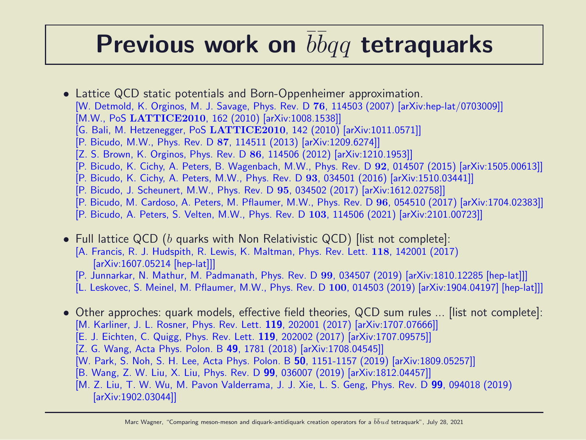### Previous work on  $\overline{b} \overline{b} q q$  tetraquarks

- Lattice QCD static potentials and Born-Oppenheimer approximation. [W. Detmold, K. Orginos, M. J. Savage, Phys. Rev. D 76, 114503 (2007) [arXiv:hep-lat/0703009]] [M.W., PoS LATTICE2010, 162 (2010) [arXiv:1008.1538]] [G. Bali, M. Hetzenegger, PoS LATTICE2010, 142 (2010) [arXiv:1011.0571]] [P. Bicudo, M.W., Phys. Rev. D 87, 114511 (2013) [arXiv:1209.6274]] [Z. S. Brown, K. Orginos, Phys. Rev. D 86, 114506 (2012) [arXiv:1210.1953]] [P. Bicudo, K. Cichy, A. Peters, B. Wagenbach, M.W., Phys. Rev. D 92, 014507 (2015) [arXiv:1505.00613]] [P. Bicudo, K. Cichy, A. Peters, M.W., Phys. Rev. D 93, 034501 (2016) [arXiv:1510.03441]] [P. Bicudo, J. Scheunert, M.W., Phys. Rev. D 95, 034502 (2017) [arXiv:1612.02758]]
	- [P. Bicudo, M. Cardoso, A. Peters, M. Pflaumer, M.W., Phys. Rev. D 96, 054510 (2017) [arXiv:1704.02383]]
	- [P. Bicudo, A. Peters, S. Velten, M.W., Phys. Rev. D 103, 114506 (2021) [arXiv:2101.00723]]
- Full lattice QCD (b quarks with Non Relativistic QCD) [list not complete]: [A. Francis, R. J. Hudspith, R. Lewis, K. Maltman, Phys. Rev. Lett. 118, 142001 (2017) [arXiv:1607.05214 [hep-lat]]]
	- [P. Junnarkar, N. Mathur, M. Padmanath, Phys. Rev. D 99, 034507 (2019) [arXiv:1810.12285 [hep-lat]]]
	- [L. Leskovec, S. Meinel, M. Pflaumer, M.W., Phys. Rev. D 100, 014503 (2019) [arXiv:1904.04197] [hep-lat]]]
- Other approches: quark models, effective field theories, QCD sum rules ... [list not complete]: [M. Karliner, J. L. Rosner, Phys. Rev. Lett. 119, 202001 (2017) [arXiv:1707.07666]]
	- [E. J. Eichten, C. Quigg, Phys. Rev. Lett. 119, 202002 (2017) [arXiv:1707.09575]]
	- [Z. G. Wang, Acta Phys. Polon. B 49, 1781 (2018) [arXiv:1708.04545]]
	- [W. Park, S. Noh, S. H. Lee, Acta Phys. Polon. B 50, 1151-1157 (2019) [arXiv:1809.05257]]
	- [B. Wang, Z. W. Liu, X. Liu, Phys. Rev. D 99, 036007 (2019) [arXiv:1812.04457]]
	- [M. Z. Liu, T. W. Wu, M. Pavon Valderrama, J. J. Xie, L. S. Geng, Phys. Rev. D 99, 094018 (2019) [arXiv:1902.03044]]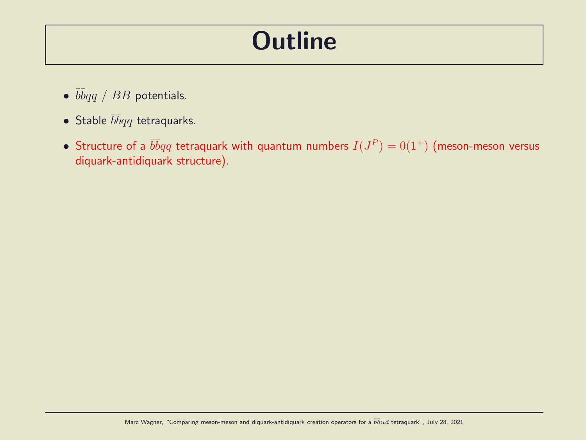#### **Outline**

- $\bullet$   $\bar{b}\bar{b}qq$  /  $BB$  potentials.
- Stable  $\bar{b} \bar{b} q q$  tetraquarks.
- $\bullet\,$  Structure of a  $\bar b\bar b qq$  tetraquark with quantum numbers  $I(J^P)=0(1^+)$  (meson-meson versus diquark-antidiquark structure).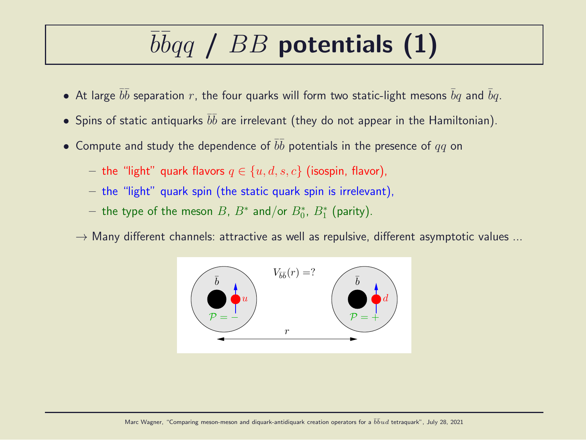# $\overline{b} \overline{b} q \overline{q}$  /  $BB$  potentials (1)

- $\bullet\,$  At large  $\bar b \bar b$  separation  $r$ , the four quarks will form two static-light mesons  $\bar b q$  and  $\bar b q.$
- $\bullet$  Spins of static antiquarks  $\bar b \bar b$  are irrelevant (they do not appear in the Hamiltonian).
- $\bullet\,$  Compute and study the dependence of  $\bar b \bar b$  potentials in the presence of  $qq$  on
	- the "light" quark flavors  $q \in \{u, d, s, c\}$  (isospin, flavor),
	- the "light" quark spin (the static quark spin is irrelevant),
	- $-$  the type of the meson  $B$ ,  $B^*$  and/or  $B^*_0$ ,  $B^*_1$  (parity).
	- $\rightarrow$  Many different channels: attractive as well as repulsive, different asymptotic values ...

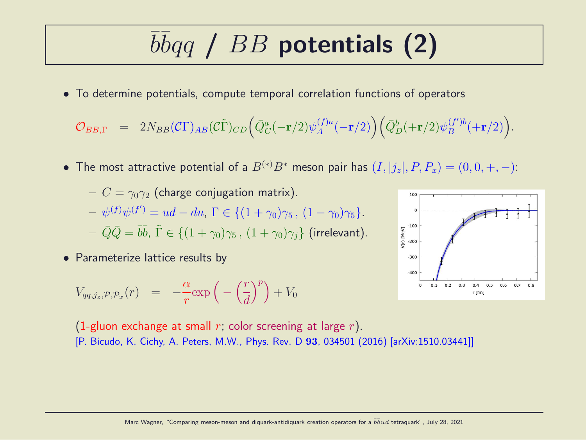# $\overline{b} \overline{b} q \overline{q}$  /  $BB$  potentials (2)

• To determine potentials, compute temporal correlation functions of operators

$$
\mathcal{O}_{BB,\Gamma} \quad = \quad 2N_{BB}(\mathcal{C}\Gamma)_{AB}(\mathcal{C}\tilde{\Gamma})_{CD} \Big( \bar{Q}_C^a(-{\bf r}/2) \psi^{(f)a}_A(-{\bf r}/2) \Big) \Big( \bar{Q}_D^b(+{\bf r}/2) \psi^{(f')b}_B(+{\bf r}/2) \Big).
$$

• The most attractive potential of a  $B^{(*)}B^*$  meson pair has  $(I, |j_z|, P, P_x) = (0, 0, +, -)$ :

$$
- C = \gamma_0 \gamma_2 \text{ (charge conjugation matrix)}.
$$
  
\n
$$
- \psi^{(f)} \psi^{(f')} = ud - du, \Gamma \in \{ (1 + \gamma_0) \gamma_5, (1 - \gamma_0) \gamma_5 \}.
$$
  
\n
$$
- \bar{Q} \bar{Q} = \bar{b} \bar{b}, \ \tilde{\Gamma} \in \{ (1 + \gamma_0) \gamma_5, (1 + \gamma_0) \gamma_j \} \text{ (irrelevant)}.
$$

• Parameterize lattice results by

$$
V_{qq,j_z,\mathcal{P},\mathcal{P}_x}(r) = -\frac{\alpha}{r} \exp\left(-\left(\frac{r}{d}\right)^p\right) + V_0
$$



(1-gluon exchange at small r; color screening at large r). [P. Bicudo, K. Cichy, A. Peters, M.W., Phys. Rev. D 93, 034501 (2016) [arXiv:1510.03441]]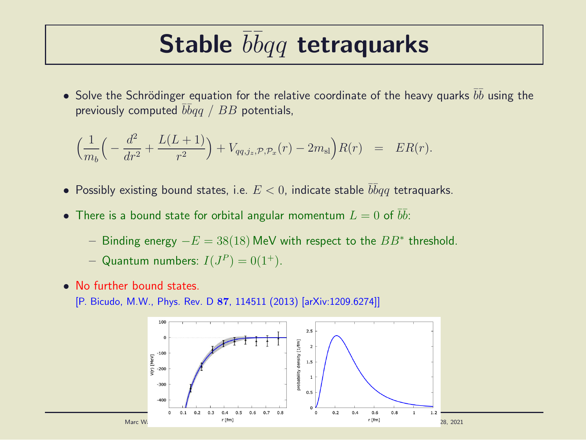### Stable  $\overline{b} \overline{b} q q$  tetraquarks

 $\bullet$  Solve the Schrödinger equation for the relative coordinate of the heavy quarks  $\bar b \bar b$  using the previously computed  $\bar b\bar b qq$  /  $BB$  potentials,

$$
\left(\frac{1}{m_b}\left(-\frac{d^2}{dr^2} + \frac{L(L+1)}{r^2}\right) + V_{qq,j_z,\mathcal{P},\mathcal{P}_x}(r) - 2m_{\rm sl}\right)R(r) = ER(r).
$$

- Possibly existing bound states, i.e.  $E < 0$ , indicate stable  $\overline{b} \overline{b} q q$  tetraquarks.
- $\bullet$  There is a bound state for orbital angular momentum  $L=0$  of  $\bar b \bar b$ :
	- − Binding energy  $-E = 38(18)$  MeV with respect to the  $BB^*$  threshold.
	- Quantum numbers:  $I(J^P) = 0(1^+).$
- No further bound states.
	- [P. Bicudo, M.W., Phys. Rev. D 87, 114511 (2013) [arXiv:1209.6274]]

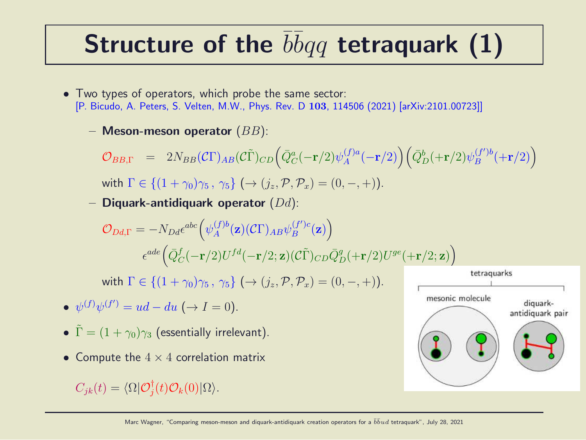## Structure of the  $\overline{b} \overline{b} q q$  tetraquark (1)

- Two types of operators, which probe the same sector: [P. Bicudo, A. Peters, S. Velten, M.W., Phys. Rev. D 103, 114506 (2021) [arXiv:2101.00723]]
	- Meson-meson operator  $(BB)$ :

$$
\mathcal{O}_{BB,\Gamma} = 2N_{BB}(\mathcal{C}\Gamma)_{AB}(\mathcal{C}\tilde{\Gamma})_{CD} \Big(\bar{Q}_{C}^{a}(-\mathbf{r}/2)\psi_{A}^{(f)a}(-\mathbf{r}/2)\Big) \Big(\bar{Q}_{D}^{b}(+\mathbf{r}/2)\psi_{B}^{(f')b}(+\mathbf{r}/2)\Big)
$$
  
with  $\Gamma \in \{(1+\gamma_{0})\gamma_{5}, \gamma_{5}\} \ (\rightarrow (j_{z}, \mathcal{P}, \mathcal{P}_{x}) = (0, -, +)).$ 

Diquark-antidiquark operator  $(Dd)$ :

$$
\mathcal{O}_{Dd,\Gamma} = -N_{Dd}\epsilon^{abc} \Big(\psi_A^{(f)b}(\mathbf{z})(C\Gamma)_{AB}\psi_B^{(f')c}(\mathbf{z})\Big)
$$

$$
\epsilon^{ade} \Big(\bar{Q}_C^f(-\mathbf{r}/2)U^{fd}(-\mathbf{r}/2;\mathbf{z})(C\tilde{\Gamma})_{CD}\bar{Q}_D^g(+\mathbf{r}/2)U^{ge}(+\mathbf{r}/2;\mathbf{z})\Big)
$$

with  $\Gamma \in \{(1+\gamma_0)\gamma_5, \gamma_5\} \ (\rightarrow (i_z, \mathcal{P}, \mathcal{P}_x) = (0, -, +))$ .

- $\psi^{(f)}\psi^{(f')} = ud du \ (\rightarrow I = 0).$
- $\tilde{\Gamma} = (1 + \gamma_0)\gamma_3$  (essentially irrelevant).
- Compute the  $4 \times 4$  correlation matrix

 $C_{jk}(t) = \langle \Omega | \mathcal{O}_j^{\dagger}$  $_{j}^{\intercal}(t)\mathcal{O}_{k}(0)|\Omega\rangle.$ 

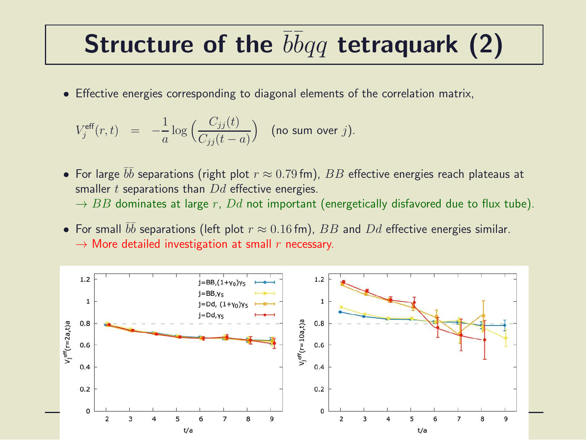### Structure of the  $\overline{b} \overline{b} q q$  tetraquark (2)

• Effective energies corresponding to diagonal elements of the correlation matrix,

$$
V_j^{\text{eff}}(r,t) = -\frac{1}{a} \log \Big( \frac{C_{jj}(t)}{C_{jj}(t-a)} \Big) \quad \text{(no sum over } j\text{)}.
$$

- $\bullet\,$  For large  $\bar b \bar b$  separations (right plot  $r\approx 0.79$  fm),  $BB$  effective energies reach plateaus at smaller  $t$  separations than  $Dd$  effective energies.  $\rightarrow$  BB dominates at large r, Dd not important (energetically disfavored due to flux tube).
- For small  $\bar{b}\bar{b}$  separations (left plot  $r \approx 0.16$  fm),  $BB$  and  $Dd$  effective energies similar.  $\rightarrow$  More detailed investigation at small r necessary.

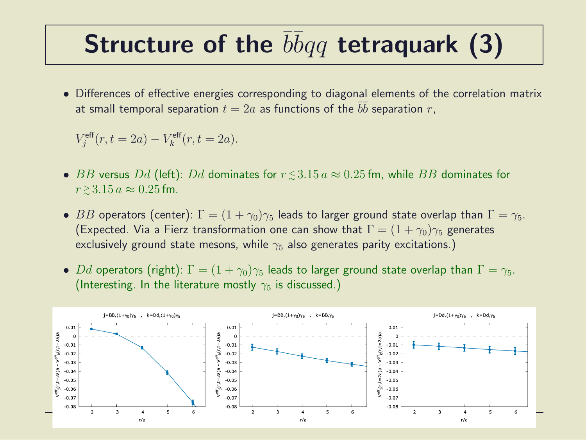## Structure of the  $\overline{b} \overline{b} q q$  tetraquark (3)

• Differences of effective energies corresponding to diagonal elements of the correlation matrix at small temporal separation  $t=2a$  as functions of the  $\bar{b}\bar{b}$  separation  $r,$ 

$$
V_j^{\text{eff}}(r, t = 2a) - V_k^{\text{eff}}(r, t = 2a).
$$

- $\bullet$   $BB$  versus  $Dd$  (left):  $Dd$  dominates for  $r\,{\lesssim}\,3.15\,a\approx 0.25\,{\rm fm},$  while  $BB$  dominates for  $r \gtrsim 3.15 a \approx 0.25$  fm.
- BB operators (center):  $\Gamma = (1 + \gamma_0)\gamma_5$  leads to larger ground state overlap than  $\Gamma = \gamma_5$ . (Expected. Via a Fierz transformation one can show that  $\Gamma = (1 + \gamma_0)\gamma_5$  generates exclusively ground state mesons, while  $\gamma_5$  also generates parity excitations.)
- Dd operators (right):  $\Gamma = (1 + \gamma_0)\gamma_5$  leads to larger ground state overlap than  $\Gamma = \gamma_5$ . (Interesting. In the literature mostly  $\gamma_5$  is discussed.)

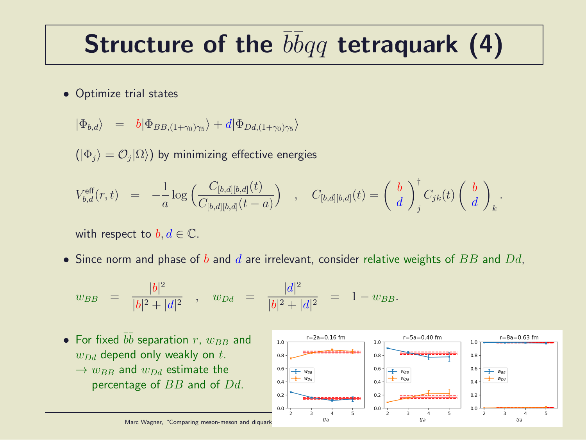## Structure of the  $\overline{b} \overline{b} q q$  tetraquark (4)

• Optimize trial states

$$
|\Phi_{b,d}\rangle = b|\Phi_{BB,(1+\gamma_0)\gamma_5}\rangle + d|\Phi_{Dd,(1+\gamma_0)\gamma_5}\rangle
$$

 $(|\Phi_j\rangle=\mathcal{O}_j|\Omega\rangle)$  by minimizing effective energies

$$
V_{b,d}^{\text{eff}}(r,t) = -\frac{1}{a} \log \left( \frac{C_{[b,d][b,d]}(t)}{C_{[b,d][b,d]}(t-a)} \right) , C_{[b,d][b,d]}(t) = \left( \begin{array}{c} b \\ d \end{array} \right)_{j}^{\dagger} C_{jk}(t) \left( \begin{array}{c} b \\ d \end{array} \right)_{k}.
$$

with respect to  $b, d \in \mathbb{C}$ .

• Since norm and phase of  $b$  and  $d$  are irrelevant, consider relative weights of  $BB$  and  $Dd$ ,

$$
w_{BB} = \frac{|b|^2}{|b|^2 + |d|^2}
$$
,  $w_{Dd} = \frac{|d|^2}{|b|^2 + |d|^2} = 1 - w_{BB}$ .

• For fixed 
$$
b\bar{b}
$$
 separation  $r$ ,  $w_{BB}$  and  $w_{Dd}$  decimal only weakly on  $t$ .  
\n $\rightarrow w_{BB}$  and  $w_{Dd}$  estimate the percentage of  $BB$  and of  $Dd$ .  
\n $\rightarrow w_{BB}$  and  $w_{Dd}$  estimate the percentage of  $BB$  and of  $Dd$ .  
\n $\rightarrow \frac{10}{100}$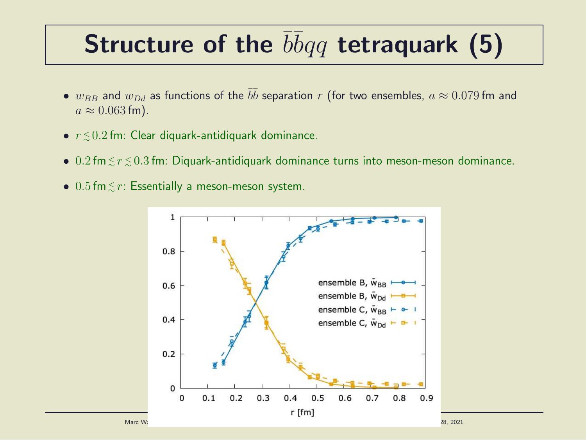## Structure of the  $\overline{b} \overline{b} q q$  tetraquark (5)

- $\bullet$   $w_{BB}$  and  $w_{Dd}$  as functions of the  $\bar{b}\bar{b}$  separation  $r$  (for two ensembles,  $a \approx 0.079$  fm and  $a \approx 0.063$  fm).
- $\bullet$   $r \lesssim 0.2$  fm: Clear diquark-antidiquark dominance.
- $\bullet$  0.2 fm $\lesssim$   $r$   $\lesssim$  0.3 fm: Diquark-antidiquark dominance turns into meson-meson dominance.
- $0.5$  fm $\lesssim r$ : Essentially a meson-meson system.

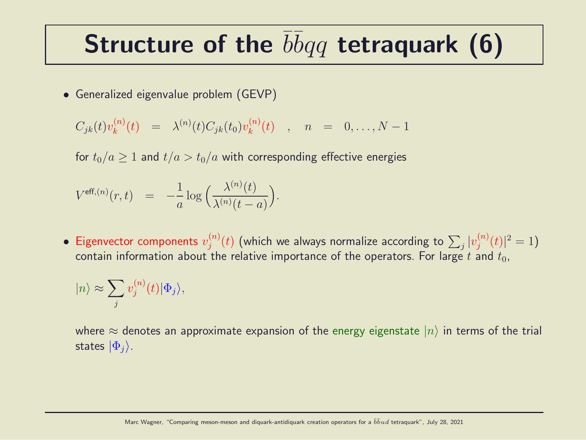### Structure of the  $\overline{b} \overline{b} q q$  tetraquark (6)

• Generalized eigenvalue problem (GEVP)

$$
C_{jk}(t)v_k^{(n)}(t) = \lambda^{(n)}(t)C_{jk}(t_0)v_k^{(n)}(t) , n = 0,..., N-1
$$

for  $t_0/a \ge 1$  and  $t/a > t_0/a$  with corresponding effective energies

$$
V^{\text{eff},(n)}(r,t) = -\frac{1}{a}\log\Big(\frac{\lambda^{(n)}(t)}{\lambda^{(n)}(t-a)}\Big).
$$

• Eigenvector components  $v_j^{(n)}$  $\psi_j^{(n)}(t)$  (which we always normalize according to  $\sum_j |v_j^{(n)}|$  $j^{(n)}(t)|^2=1$ contain information about the relative importance of the operators. For large t and  $t_0$ ,

$$
|n\rangle \approx \sum_j v_j^{(n)}(t) |\Phi_j\rangle,
$$

where  $\approx$  denotes an approximate expansion of the energy eigenstate  $|n\rangle$  in terms of the trial states  $|\Phi_i\rangle$ .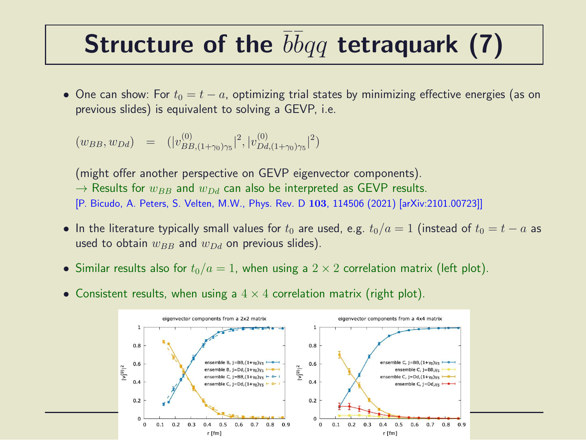### Structure of the  $\overline{b} \overline{b} q q$  tetraquark (7)

• One can show: For  $t_0 = t - a$ , optimizing trial states by minimizing effective energies (as on previous slides) is equivalent to solving a GEVP, i.e.

$$
(w_{BB}, w_{Dd}) = (|v_{BB,(1+\gamma_0)\gamma_5}^{(0)}|^2, |v_{DA,(1+\gamma_0)\gamma_5}^{(0)}|^2)
$$

(might offer another perspective on GEVP eigenvector components).  $\rightarrow$  Results for  $w_{BB}$  and  $w_{DA}$  can also be interpreted as GEVP results. [P. Bicudo, A. Peters, S. Velten, M.W., Phys. Rev. D 103, 114506 (2021) [arXiv:2101.00723]]

- In the literature typically small values for  $t_0$  are used, e.g.  $t_0/a = 1$  (instead of  $t_0 = t a$  as used to obtain  $w_{BB}$  and  $w_{Dd}$  on previous slides).
- Similar results also for  $t_0/a = 1$ , when using a  $2 \times 2$  correlation matrix (left plot).
- Consistent results, when using a  $4 \times 4$  correlation matrix (right plot).

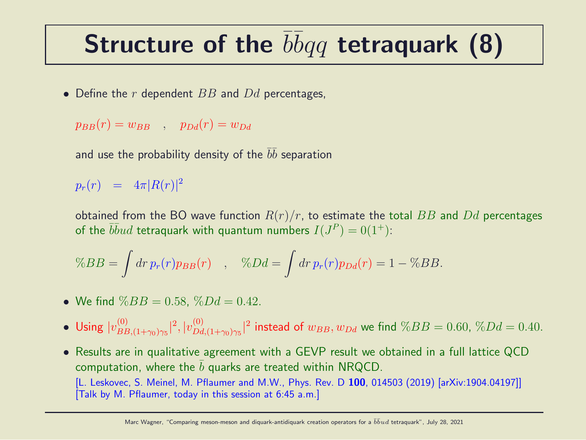## Structure of the  $\overline{b} \overline{b} q q$  tetraquark (8)

• Define the  $r$  dependent  $BB$  and  $Dd$  percentages,

$$
p_{BB}(r) = w_{BB} \quad , \quad p_{Dd}(r) = w_{Dd}
$$

and use the probability density of the  $\bar b \bar b$  separation

 $p_r(r)$  =  $4\pi |R(r)|^2$ 

obtained from the BO wave function  $R(r)/r$ , to estimate the total BB and Dd percentages of the  $\overline{b} \overline{b} u d$  tetraquark with quantum numbers  $I(J^P) = 0(1^+)$ :

$$
\%BB = \int dr \, p_r(r) p_{BB}(r) \quad , \quad \%Dd = \int dr \, p_r(r) p_{Dd}(r) = 1 - \%BB.
$$

- We find  $\%BB = 0.58$ ,  $\%Dd = 0.42$ .
- Using  $|v_{BF}^{(0)}|$  $\frac{1}{B B,(1+\gamma_0)\gamma_5}|^2,|v_{Dd}^{(0)}|$  $\int_{Dd,(1+\gamma_0)\gamma_5}^{(0)}|^2$  instead of  $w_{BB},w_{Dd}$  we find  $\%BB = 0.60, \,\%Dd = 0.40.5$
- Results are in qualitative agreement with a GEVP result we obtained in a full lattice QCD computation, where the  $b$  quarks are treated within NRQCD. [L. Leskovec, S. Meinel, M. Pflaumer and M.W., Phys. Rev. D 100, 014503 (2019) [arXiv:1904.04197]] [Talk by M. Pflaumer, today in this session at 6:45 a.m.]